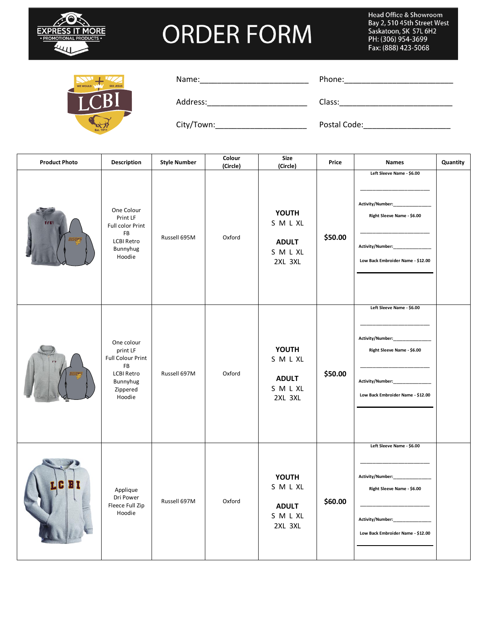

Head Office & Showroom Bay 2, 510 45th Street West Say 2, 310 13th Street<br>Saskatoon, SK S7L 6H2<br>PH: (306) 954-3699 Fax: (888) 423-5068



| Name: |  |  |
|-------|--|--|
|       |  |  |

Name:\_\_\_\_\_\_\_\_\_\_\_\_\_\_\_\_\_\_\_\_\_\_\_\_\_ Phone:\_\_\_\_\_\_\_\_\_\_\_\_\_\_\_\_\_\_\_\_\_\_\_\_\_

Address: Class: Class:

City/Town:\_\_\_\_\_\_\_\_\_\_\_\_\_\_\_\_\_\_\_\_\_ Postal Code:\_\_\_\_\_\_\_\_\_\_\_\_\_\_\_\_\_\_\_\_

| <b>Product Photo</b> | <b>Description</b>                                                                                              | <b>Style Number</b> | Colour<br>(Circle) | Size<br>(Circle)                                          | Price   | <b>Names</b>                                                                                                                         | Quantity |
|----------------------|-----------------------------------------------------------------------------------------------------------------|---------------------|--------------------|-----------------------------------------------------------|---------|--------------------------------------------------------------------------------------------------------------------------------------|----------|
| m<br><b>GAM</b>      | One Colour<br>Print LF<br>Full color Print<br>FB<br><b>LCBI Retro</b><br>Bunnyhug<br>Hoodie                     | Russell 695M        | Oxford             | <b>YOUTH</b><br>SMLXL<br><b>ADULT</b><br>SMLXL<br>2XL 3XL | \$50.00 | Left Sleeve Name - \$6.00<br>Activity/Number:<br>Right Sleeve Name - \$6.00<br>Activity/Number:<br>Low Back Embroider Name - \$12.00 |          |
|                      | One colour<br>print LF<br><b>Full Colour Print</b><br>FB<br><b>LCBI Retro</b><br>Bunnyhug<br>Zippered<br>Hoodie | Russell 697M        | Oxford             | <b>YOUTH</b><br>SMLXL<br><b>ADULT</b><br>SMLXL<br>2XL 3XL | \$50.00 | Left Sleeve Name - \$6.00<br>Activity/Number:<br>Right Sleeve Name - \$6.00<br>Activity/Number:<br>Low Back Embroider Name - \$12.00 |          |
|                      | Applique<br>Dri Power<br>Fleece Full Zip<br>Hoodie                                                              | Russell 697M        | Oxford             | <b>YOUTH</b><br>SMLXL<br><b>ADULT</b><br>SMLXL<br>2XL 3XL | \$60.00 | Left Sleeve Name - \$6.00<br>Activity/Number:<br>Right Sleeve Name - \$6.00<br>Activity/Number:<br>Low Back Embroider Name - \$12.00 |          |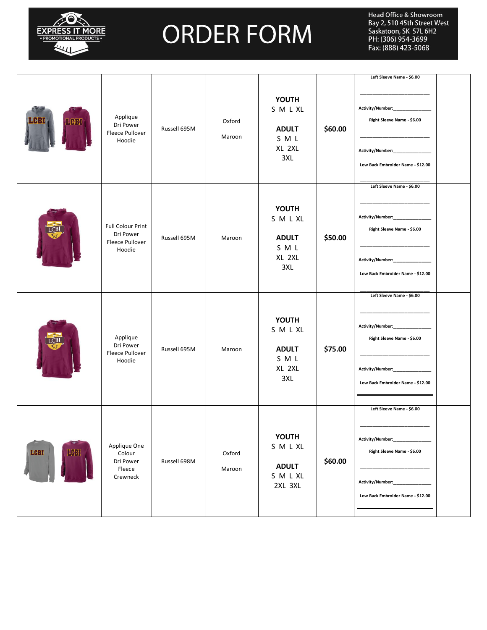

|               |                                                                           |              |                  |                                                               |         | Left Sleeve Name - \$6.00                                                                                                                                        |
|---------------|---------------------------------------------------------------------------|--------------|------------------|---------------------------------------------------------------|---------|------------------------------------------------------------------------------------------------------------------------------------------------------------------|
| 403           | Applique<br>Dri Power<br>Fleece Pullover<br>Hoodie                        | Russell 695M | Oxford<br>Maroon | <b>YOUTH</b><br>SMLXL<br><b>ADULT</b><br>SML<br>XL 2XL<br>3XL | \$60.00 | Activity/Number:______________<br>Right Sleeve Name - \$6.00<br>Activity/Number:<br>Low Back Embroider Name - \$12.00                                            |
|               | <b>Full Colour Print</b><br>Dri Power<br><b>Fleece Pullover</b><br>Hoodie | Russell 695M | Maroon           | <b>YOUTH</b><br>SMLXL<br><b>ADULT</b><br>SML<br>XL 2XL<br>3XL | \$50.00 | Left Sleeve Name - \$6.00<br>Activity/Number:______________<br>Right Sleeve Name - \$6.00<br>Activity/Number:______________<br>Low Back Embroider Name - \$12.00 |
|               | Applique<br>Dri Power<br>Fleece Pullover<br>Hoodie                        | Russell 695M | Maroon           | <b>YOUTH</b><br>SMLXL<br><b>ADULT</b><br>SML<br>XL 2XL<br>3XL | \$75.00 | Left Sleeve Name - \$6.00<br>Activity/Number:_____________<br>Right Sleeve Name - \$6.00<br>Activity/Number:_____________<br>Low Back Embroider Name - \$12.00   |
| LCBI<br>14631 | Applique One<br>Colour<br>Dri Power<br>Fleece<br>Crewneck                 | Russell 698M | Oxford<br>Maroon | <b>YOUTH</b><br>SMLXL<br><b>ADULT</b><br>SMLXL<br>2XL 3XL     | \$60.00 | Left Sleeve Name - \$6.00<br>Activity/Number:_______<br>Right Sleeve Name - \$6.00<br>Activity/Number:<br>Low Back Embroider Name - \$12.00                      |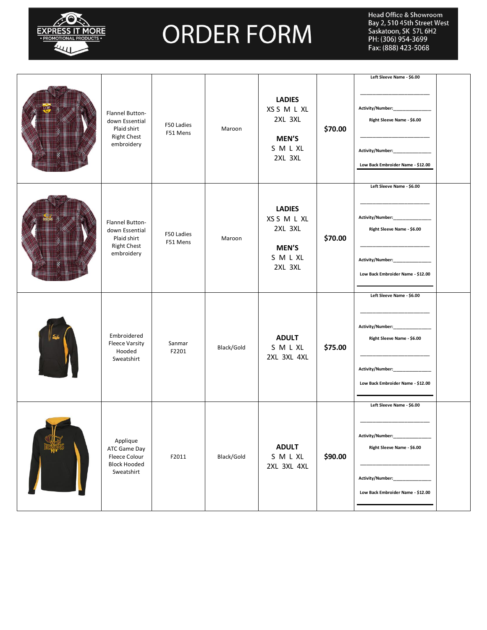

|                                                                                      |                        |            | <b>LADIES</b><br>XS S M L XL                                                |         | Left Sleeve Name - \$6.00<br>Activity/Number:______________                                                                                                     |  |
|--------------------------------------------------------------------------------------|------------------------|------------|-----------------------------------------------------------------------------|---------|-----------------------------------------------------------------------------------------------------------------------------------------------------------------|--|
| Flannel Button-<br>down Essential<br>Plaid shirt<br><b>Right Chest</b><br>embroidery | F50 Ladies<br>F51 Mens | Maroon     | 2XL 3XL<br><b>MEN'S</b><br>SMLXL<br>2XL 3XL                                 | \$70.00 | Right Sleeve Name - \$6.00<br>Activity/Number:_____________<br>Low Back Embroider Name - \$12.00                                                                |  |
| Flannel Button-<br>down Essential<br>Plaid shirt<br><b>Right Chest</b><br>embroidery | F50 Ladies<br>F51 Mens | Maroon     | <b>LADIES</b><br>XS S M L XL<br>2XL 3XL<br><b>MEN'S</b><br>SMLXL<br>2XL 3XL | \$70.00 | Left Sleeve Name - \$6.00<br>Activity/Number:______________<br>Right Sleeve Name - \$6.00<br>Activity/Number:_____________<br>Low Back Embroider Name - \$12.00 |  |
| Embroidered<br><b>Fleece Varsity</b><br>Hooded<br>Sweatshirt                         | Sanmar<br>F2201        | Black/Gold | <b>ADULT</b><br>SMLXL<br>2XL 3XL 4XL                                        | \$75.00 | Left Sleeve Name - \$6.00<br>Activity/Number:_____________<br>Right Sleeve Name - \$6.00<br>Activity/Number:______________<br>Low Back Embroider Name - \$12.00 |  |
| Applique<br>ATC Game Day<br>Fleece Colour<br><b>Block Hooded</b><br>Sweatshirt       | F2011                  | Black/Gold | <b>ADULT</b><br>SMLXL<br>2XL 3XL 4XL                                        | \$90.00 | Left Sleeve Name - \$6.00<br>Activity/Number:<br>Right Sleeve Name - \$6.00<br>Activity/Number:<br>Low Back Embroider Name - \$12.00                            |  |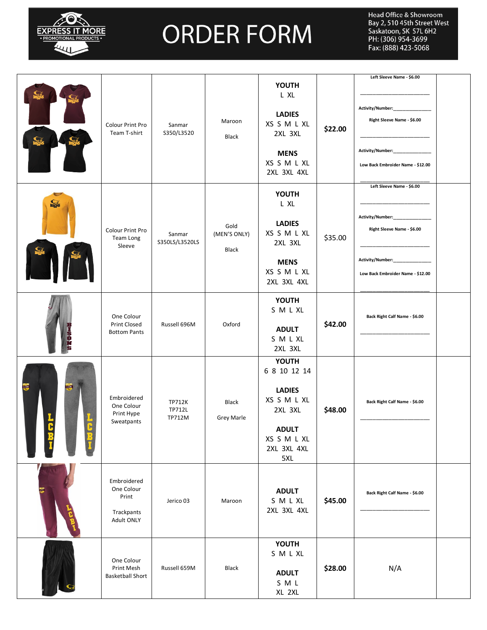

|              | Colour Print Pro<br>Team T-shirt                               | Sanmar<br>S350/L3520                     | Maroon<br><b>Black</b>            | <b>YOUTH</b><br>L XL<br><b>LADIES</b><br>XS S M L XL<br>2XL 3XL<br><b>MENS</b><br>XS S M L XL<br>2XL 3XL 4XL                 | \$22.00 | Left Sleeve Name - \$6.00<br>Activity/Number:___________<br>Right Sleeve Name - \$6.00<br>Activity/Number:<br>Low Back Embroider Name - \$12.00<br>Left Sleeve Name - \$6.00 |  |
|--------------|----------------------------------------------------------------|------------------------------------------|-----------------------------------|------------------------------------------------------------------------------------------------------------------------------|---------|------------------------------------------------------------------------------------------------------------------------------------------------------------------------------|--|
| <b>KA</b>    | Colour Print Pro<br>Team Long<br>Sleeve                        | Sanmar<br>S350LS/L3520LS                 | Gold<br>(MEN'S ONLY)<br>Black     | <b>YOUTH</b><br>L XL<br><b>LADIES</b><br>XS S M L XL<br>2XL 3XL<br><b>MENS</b><br>XS S M L XL<br>2XL 3XL 4XL                 | \$35.00 | Activity/Number:_____________<br>Right Sleeve Name - \$6.00<br>Activity/Number:___________<br>Low Back Embroider Name - \$12.00                                              |  |
| BISONS       | One Colour<br><b>Print Closed</b><br><b>Bottom Pants</b>       | Russell 696M                             | Oxford                            | <b>YOUTH</b><br>SMLXL<br><b>ADULT</b><br>SMLXL<br>2XL 3XL                                                                    | \$42.00 | Back Right Calf Name - \$6.00                                                                                                                                                |  |
| LCBI<br>LCBI | Embroidered<br>One Colour<br>Print Hype<br>Sweatpants          | <b>TP712K</b><br>TP712L<br><b>TP712M</b> | <b>Black</b><br><b>Grey Marle</b> | <b>YOUTH</b><br>6 8 10 12 14<br><b>LADIES</b><br>XS S M L XL<br>2XL 3XL<br><b>ADULT</b><br>XS S M L XL<br>2XL 3XL 4XL<br>5XL | \$48.00 | Back Right Calf Name - \$6.00                                                                                                                                                |  |
| <b>REG</b>   | Embroidered<br>One Colour<br>Print<br>Trackpants<br>Adult ONLY | Jerico 03                                | Maroon                            | <b>ADULT</b><br>SMLXL<br>2XL 3XL 4XL                                                                                         | \$45.00 | Back Right Calf Name - \$6.00                                                                                                                                                |  |
|              | One Colour<br>Print Mesh<br><b>Basketball Short</b>            | Russell 659M                             | Black                             | YOUTH<br>SMLXL<br><b>ADULT</b><br>SML<br>XL 2XL                                                                              | \$28.00 | N/A                                                                                                                                                                          |  |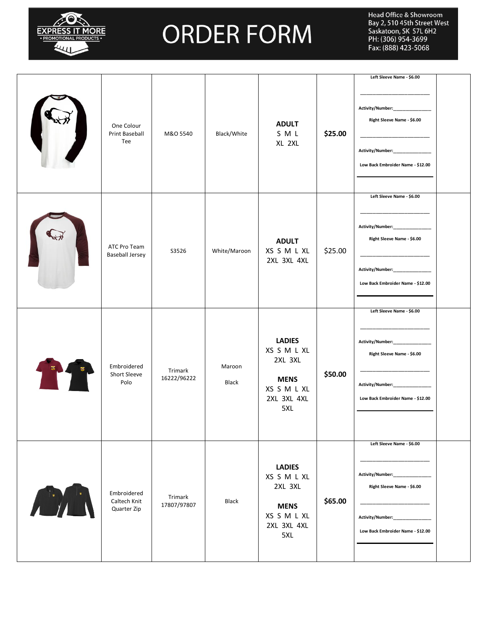

|                                            |                        |                 |                                                                                             |         | Left Sleeve Name - \$6.00                                                                                                                                      |
|--------------------------------------------|------------------------|-----------------|---------------------------------------------------------------------------------------------|---------|----------------------------------------------------------------------------------------------------------------------------------------------------------------|
| One Colour<br>Print Baseball<br>Tee        | M&O 5540               | Black/White     | <b>ADULT</b><br>SML<br>XL 2XL                                                               | \$25.00 | Activity/Number:_____________<br>Right Sleeve Name - \$6.00<br>Activity/Number:<br>Low Back Embroider Name - \$12.00                                           |
| ATC Pro Team<br><b>Baseball Jersey</b>     | S3526                  | White/Maroon    | <b>ADULT</b><br>XS S M L XL<br>2XL 3XL 4XL                                                  | \$25.00 | Left Sleeve Name - \$6.00<br><b>Activity/Number:</b><br>Right Sleeve Name - \$6.00<br>Activity/Number:____________<br>Low Back Embroider Name - \$12.00        |
| Embroidered<br>Short Sleeve<br>Polo        | Trimark<br>16222/96222 | Maroon<br>Black | <b>LADIES</b><br>XS S M L XL<br>2XL 3XL<br><b>MENS</b><br>XS S M L XL<br>2XL 3XL 4XL<br>5XL | \$50.00 | Left Sleeve Name - \$6.00<br>Activity/Number:_____________<br>Right Sleeve Name - \$6.00<br>Activity/Number:_____________<br>Low Back Embroider Name - \$12.00 |
| Embroidered<br>Caltech Knit<br>Quarter Zip | Trimark<br>17807/97807 | Black           | <b>LADIES</b><br>XS S M L XL<br>2XL 3XL<br><b>MENS</b><br>XS S M L XL<br>2XL 3XL 4XL<br>5XL | \$65.00 | Left Sleeve Name - \$6.00<br>Activity/Number:____________<br>Right Sleeve Name - \$6.00<br>Activity/Number:<br>Low Back Embroider Name - \$12.00               |